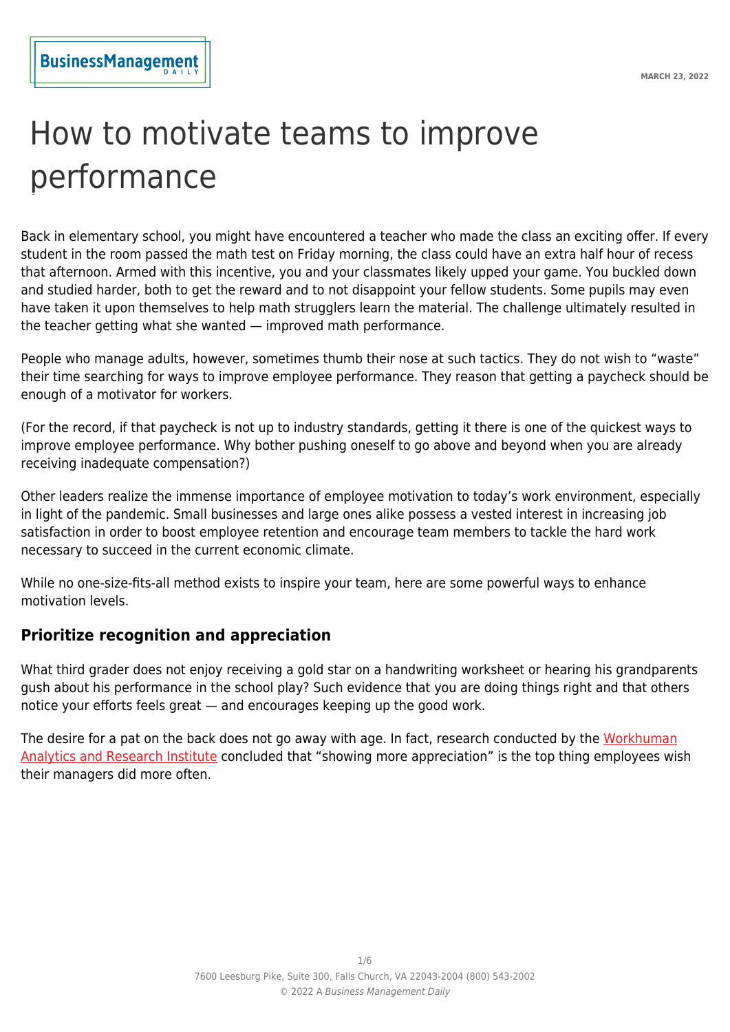# How to motivate teams to improve performance

Back in elementary school, you might have encountered a teacher who made the class an exciting offer. If every student in the room passed the math test on Friday morning, the class could have an extra half hour of recess that afternoon. Armed with this incentive, you and your classmates likely upped your game. You buckled down and studied harder, both to get the reward and to not disappoint your fellow students. Some pupils may even have taken it upon themselves to help math strugglers learn the material. The challenge ultimately resulted in the teacher getting what she wanted — improved math performance.

People who manage adults, however, sometimes thumb their nose at such tactics. They do not wish to "waste" their time searching for ways to improve employee performance. They reason that getting a paycheck should be enough of a motivator for workers.

(For the record, if that paycheck is not up to industry standards, getting it there is one of the quickest ways to improve employee performance. Why bother pushing oneself to go above and beyond when you are already receiving inadequate compensation?)

Other leaders realize the immense importance of employee motivation to today's work environment, especially in light of the pandemic. Small businesses and large ones alike possess a vested interest in increasing job satisfaction in order to boost employee retention and encourage team members to tackle the hard work necessary to succeed in the current economic climate.

While no one-size-fits-all method exists to inspire your team, here are some powerful ways to enhance motivation levels.

# **Prioritize recognition and appreciation**

What third grader does not enjoy receiving a gold star on a handwriting worksheet or hearing his grandparents gush about his performance in the school play? Such evidence that you are doing things right and that others notice your efforts feels great — and encourages keeping up the good work.

The desire for a pat on the back does not go away with age. In fact, research conducted by the [Workhuman](https://www2.deloitte.com/us/en/pages/about-deloitte/articles/time-to-rethink-employee-recognition-strategy.html) [Analytics and Research Institute](https://www2.deloitte.com/us/en/pages/about-deloitte/articles/time-to-rethink-employee-recognition-strategy.html) concluded that "showing more appreciation" is the top thing employees wish their managers did more often.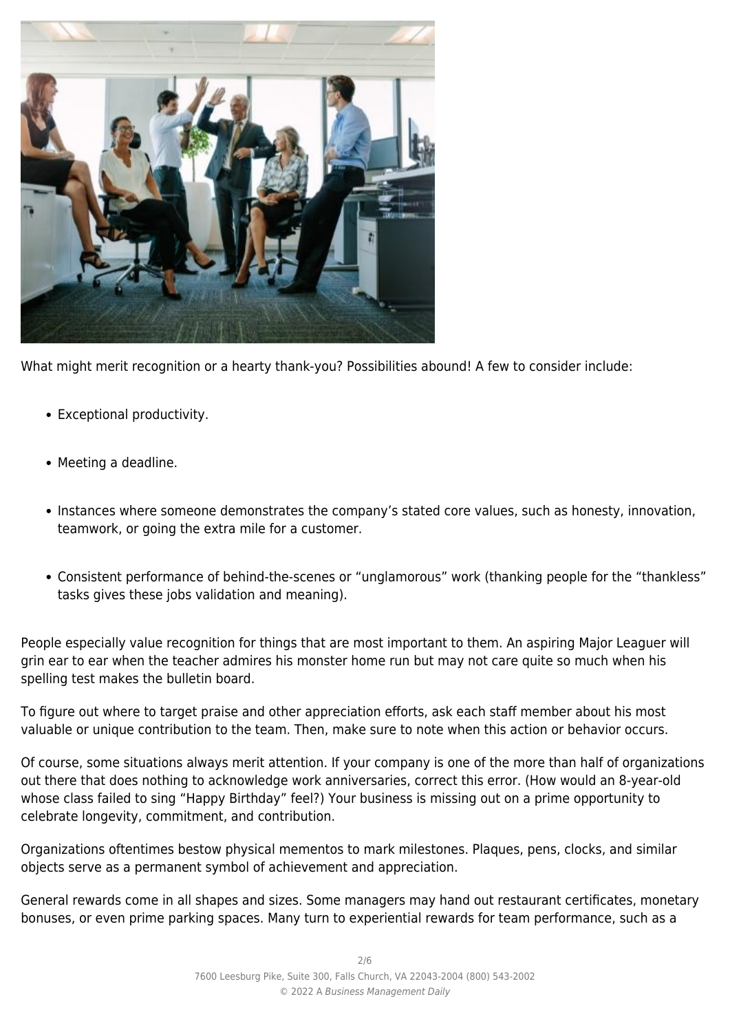

What might merit recognition or a hearty thank-you? Possibilities abound! A few to consider include:

- Exceptional productivity.
- Meeting a deadline.
- Instances where someone demonstrates the company's stated core values, such as honesty, innovation, teamwork, or going the extra mile for a customer.
- Consistent performance of behind-the-scenes or "unglamorous" work (thanking people for the "thankless" tasks gives these jobs validation and meaning).

People especially value recognition for things that are most important to them. An aspiring Major Leaguer will grin ear to ear when the teacher admires his monster home run but may not care quite so much when his spelling test makes the bulletin board.

To figure out where to target praise and other appreciation efforts, ask each staff member about his most valuable or unique contribution to the team. Then, make sure to note when this action or behavior occurs.

Of course, some situations always merit attention. If your company is one of the more than half of organizations out there that does nothing to acknowledge work anniversaries, correct this error. (How would an 8-year-old whose class failed to sing "Happy Birthday" feel?) Your business is missing out on a prime opportunity to celebrate longevity, commitment, and contribution.

Organizations oftentimes bestow physical mementos to mark milestones. Plaques, pens, clocks, and similar objects serve as a permanent symbol of achievement and appreciation.

General rewards come in all shapes and sizes. Some managers may hand out restaurant certificates, monetary bonuses, or even prime parking spaces. Many turn to experiential rewards for team performance, such as a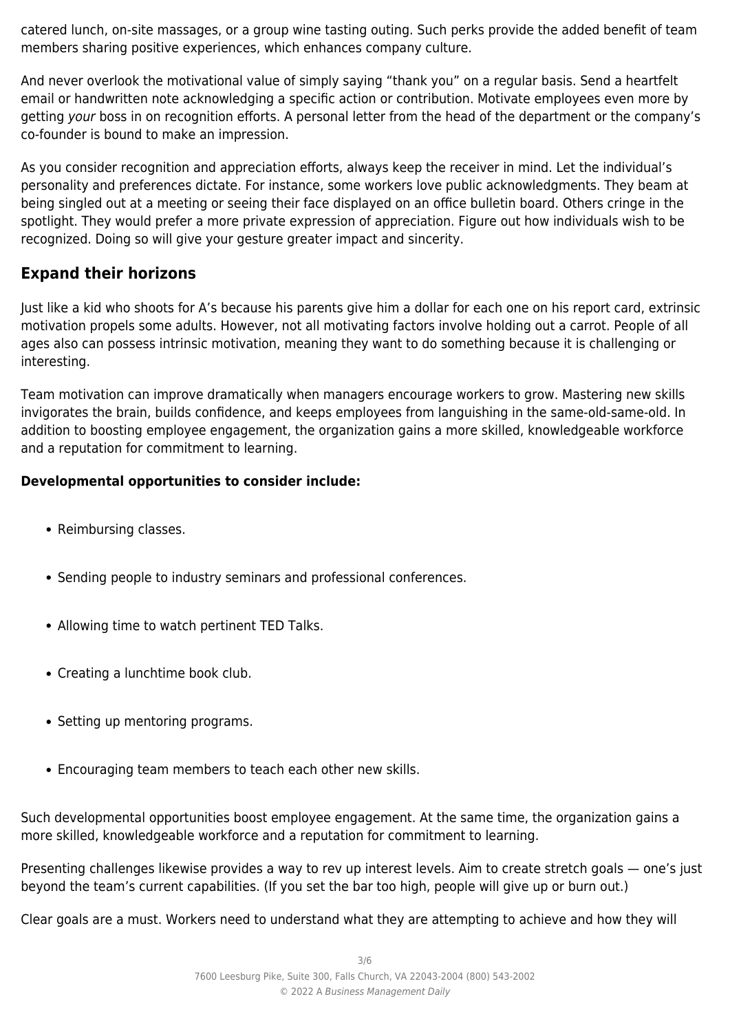catered lunch, on-site massages, or a group wine tasting outing. Such perks provide the added benefit of team members sharing positive experiences, which enhances company culture.

And never overlook the motivational value of simply saying "thank you" on a regular basis. Send a heartfelt email or handwritten note acknowledging a specific action or contribution. Motivate employees even more by getting your boss in on recognition efforts. A personal letter from the head of the department or the company's co-founder is bound to make an impression.

As you consider recognition and appreciation efforts, always keep the receiver in mind. Let the individual's personality and preferences dictate. For instance, some workers love public acknowledgments. They beam at being singled out at a meeting or seeing their face displayed on an office bulletin board. Others cringe in the spotlight. They would prefer a more private expression of appreciation. Figure out how individuals wish to be recognized. Doing so will give your gesture greater impact and sincerity.

# **Expand their horizons**

Just like a kid who shoots for A's because his parents give him a dollar for each one on his report card, extrinsic motivation propels some adults. However, not all motivating factors involve holding out a carrot. People of all ages also can possess intrinsic motivation, meaning they want to do something because it is challenging or interesting.

Team motivation can improve dramatically when managers encourage workers to grow. Mastering new skills invigorates the brain, builds confidence, and keeps employees from languishing in the same-old-same-old. In addition to boosting employee engagement, the organization gains a more skilled, knowledgeable workforce and a reputation for commitment to learning.

## **Developmental opportunities to consider include:**

- Reimbursing classes.
- Sending people to industry seminars and professional conferences.
- Allowing time to watch pertinent TED Talks.
- Creating a lunchtime book club.
- Setting up mentoring programs.
- Encouraging team members to teach each other new skills.

Such developmental opportunities boost employee engagement. At the same time, the organization gains a more skilled, knowledgeable workforce and a reputation for commitment to learning.

Presenting challenges likewise provides a way to rev up interest levels. Aim to create stretch goals — one's just beyond the team's current capabilities. (If you set the bar too high, people will give up or burn out.)

Clear goals are a must. Workers need to understand what they are attempting to achieve and how they will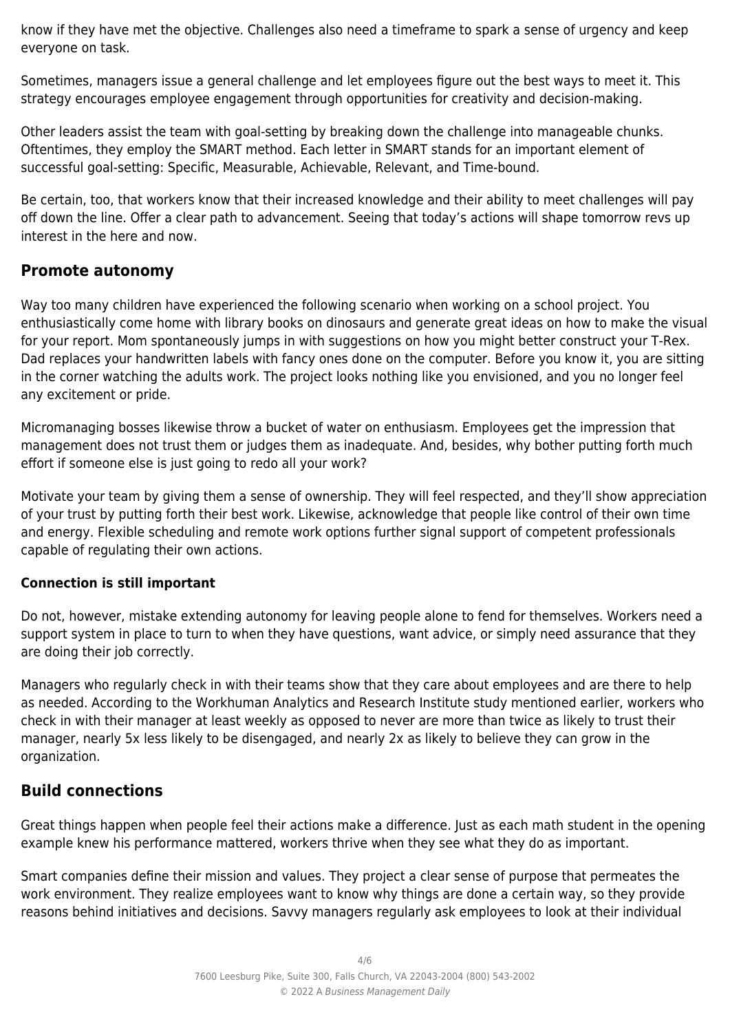know if they have met the objective. Challenges also need a timeframe to spark a sense of urgency and keep everyone on task.

Sometimes, managers issue a general challenge and let employees figure out the best ways to meet it. This strategy encourages employee engagement through opportunities for creativity and decision-making.

Other leaders assist the team with goal-setting by breaking down the challenge into manageable chunks. Oftentimes, they employ the SMART method. Each letter in SMART stands for an important element of successful goal-setting: Specific, Measurable, Achievable, Relevant, and Time-bound.

Be certain, too, that workers know that their increased knowledge and their ability to meet challenges will pay off down the line. Offer a clear path to advancement. Seeing that today's actions will shape tomorrow revs up interest in the here and now.

## **Promote autonomy**

Way too many children have experienced the following scenario when working on a school project. You enthusiastically come home with library books on dinosaurs and generate great ideas on how to make the visual for your report. Mom spontaneously jumps in with suggestions on how you might better construct your T-Rex. Dad replaces your handwritten labels with fancy ones done on the computer. Before you know it, you are sitting in the corner watching the adults work. The project looks nothing like you envisioned, and you no longer feel any excitement or pride.

Micromanaging bosses likewise throw a bucket of water on enthusiasm. Employees get the impression that management does not trust them or judges them as inadequate. And, besides, why bother putting forth much effort if someone else is just going to redo all your work?

Motivate your team by giving them a sense of ownership. They will feel respected, and they'll show appreciation of your trust by putting forth their best work. Likewise, acknowledge that people like control of their own time and energy. Flexible scheduling and remote work options further signal support of competent professionals capable of regulating their own actions.

### **Connection is still important**

Do not, however, mistake extending autonomy for leaving people alone to fend for themselves. Workers need a support system in place to turn to when they have questions, want advice, or simply need assurance that they are doing their job correctly.

Managers who regularly check in with their teams show that they care about employees and are there to help as needed. According to the Workhuman Analytics and Research Institute study mentioned earlier, workers who check in with their manager at least weekly as opposed to never are more than twice as likely to trust their manager, nearly 5x less likely to be disengaged, and nearly 2x as likely to believe they can grow in the organization.

# **Build connections**

Great things happen when people feel their actions make a difference. Just as each math student in the opening example knew his performance mattered, workers thrive when they see what they do as important.

Smart companies define their mission and values. They project a clear sense of purpose that permeates the work environment. They realize employees want to know why things are done a certain way, so they provide reasons behind initiatives and decisions. Savvy managers regularly ask employees to look at their individual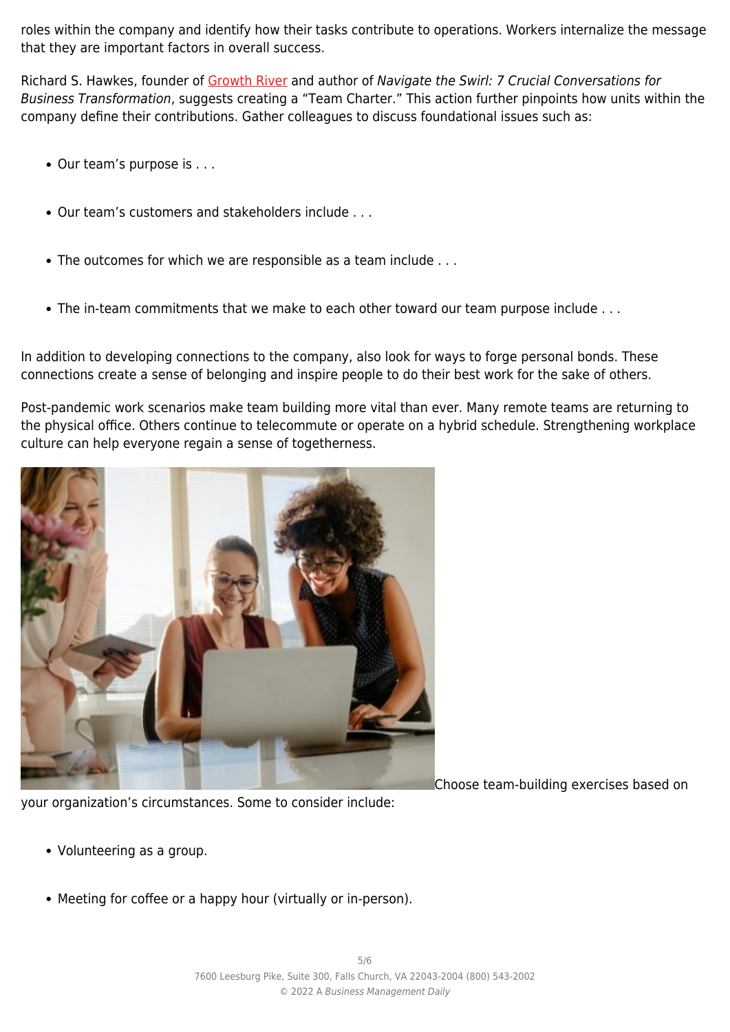roles within the company and identify how their tasks contribute to operations. Workers internalize the message that they are important factors in overall success.

Richard S. Hawkes, founder of [Growth River](https://growthriver.com/) and author of Navigate the Swirl: 7 Crucial Conversations for Business Transformation, suggests creating a "Team Charter." This action further pinpoints how units within the company define their contributions. Gather colleagues to discuss foundational issues such as:

- $\bullet$  Our team's purpose is . . .
- Our team's customers and stakeholders include . . .
- The outcomes for which we are responsible as a team include . . .
- The in-team commitments that we make to each other toward our team purpose include ...

In addition to developing connections to the company, also look for ways to forge personal bonds. These connections create a sense of belonging and inspire people to do their best work for the sake of others.

Post-pandemic work scenarios make team building more vital than ever. Many remote teams are returning to the physical office. Others continue to telecommute or operate on a hybrid schedule. Strengthening workplace culture can help everyone regain a sense of togetherness.



Choose team-building exercises based on

your organization's circumstances. Some to consider include:

- Volunteering as a group.
- Meeting for coffee or a happy hour (virtually or in-person).